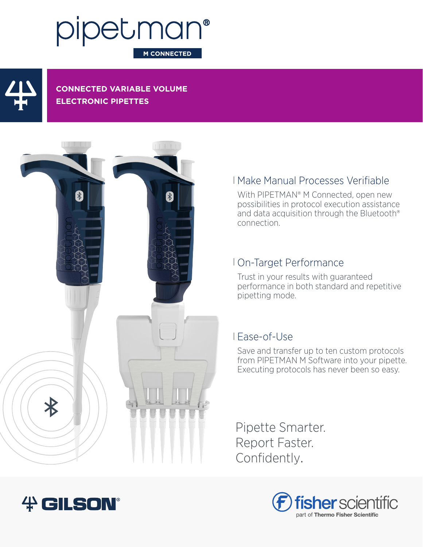# pipetman® **M CONNECTED**



**CONNECTED VARIABLE VOLUME ELECTRONIC PIPETTES**



# Make Manual Processes Verifiable

With PIPETMAN® M Connected, open new possibilities in protocol execution assistance and data acquisition through the Bluetooth® connection.

# On-Target Performance

Trust in your results with guaranteed performance in both standard and repetitive pipetting mode.

## Ease-of-Use

Save and transfer up to ten custom protocols from PIPETMAN M Software into your pipette. Executing protocols has never been so easy.

Pipette Smarter. Report Faster. Confidently.